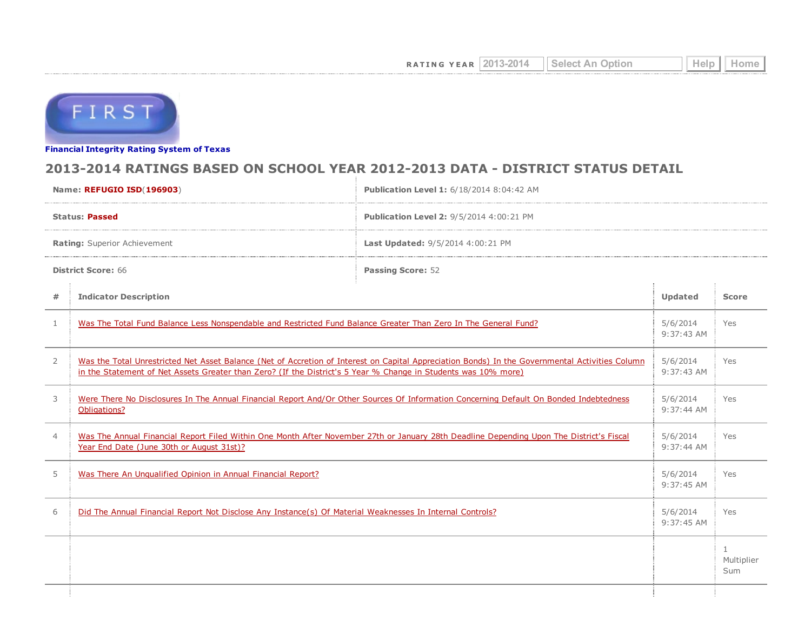

Financial [Integrity](http://tea4avwaylon.tea.state.tx.us/First/forms/main.aspx) Rating System of Texas

## 2013-2014 RATINGS BASED ON SCHOOL YEAR 2012-2013 DATA - DISTRICT STATUS DETAIL

| Name: REFUGIO ISD(196903)    |                                                                                                                                                                                                                                                                   | <b>Publication Level 1: 6/18/2014 8:04:42 AM</b> |  |                        |  |
|------------------------------|-------------------------------------------------------------------------------------------------------------------------------------------------------------------------------------------------------------------------------------------------------------------|--------------------------------------------------|--|------------------------|--|
| <b>Status: Passed</b>        |                                                                                                                                                                                                                                                                   | Publication Level 2: 9/5/2014 4:00:21 PM         |  |                        |  |
| Rating: Superior Achievement |                                                                                                                                                                                                                                                                   | Last Updated: 9/5/2014 4:00:21 PM                |  |                        |  |
| <b>District Score: 66</b>    |                                                                                                                                                                                                                                                                   | <b>Passing Score: 52</b>                         |  |                        |  |
| $\#$                         | <b>Indicator Description</b>                                                                                                                                                                                                                                      |                                                  |  | <b>Score</b>           |  |
| $\mathbf{1}$                 | Was The Total Fund Balance Less Nonspendable and Restricted Fund Balance Greater Than Zero In The General Fund?                                                                                                                                                   |                                                  |  | Yes                    |  |
| $\overline{2}$               | Was the Total Unrestricted Net Asset Balance (Net of Accretion of Interest on Capital Appreciation Bonds) In the Governmental Activities Column<br>in the Statement of Net Assets Greater than Zero? (If the District's 5 Year % Change in Students was 10% more) |                                                  |  | Yes                    |  |
| 3                            | Were There No Disclosures In The Annual Financial Report And/Or Other Sources Of Information Concerning Default On Bonded Indebtedness<br>Obligations?                                                                                                            |                                                  |  | Yes                    |  |
| $\overline{4}$               | Was The Annual Financial Report Filed Within One Month After November 27th or January 28th Deadline Depending Upon The District's Fiscal<br>Year End Date (June 30th or August 31st)?                                                                             |                                                  |  | Yes                    |  |
| 5                            | Was There An Unqualified Opinion in Annual Financial Report?                                                                                                                                                                                                      |                                                  |  | Yes                    |  |
| 6                            | Did The Annual Financial Report Not Disclose Any Instance(s) Of Material Weaknesses In Internal Controls?                                                                                                                                                         |                                                  |  | Yes                    |  |
|                              |                                                                                                                                                                                                                                                                   |                                                  |  | 1<br>Multiplier<br>Sum |  |
|                              |                                                                                                                                                                                                                                                                   |                                                  |  |                        |  |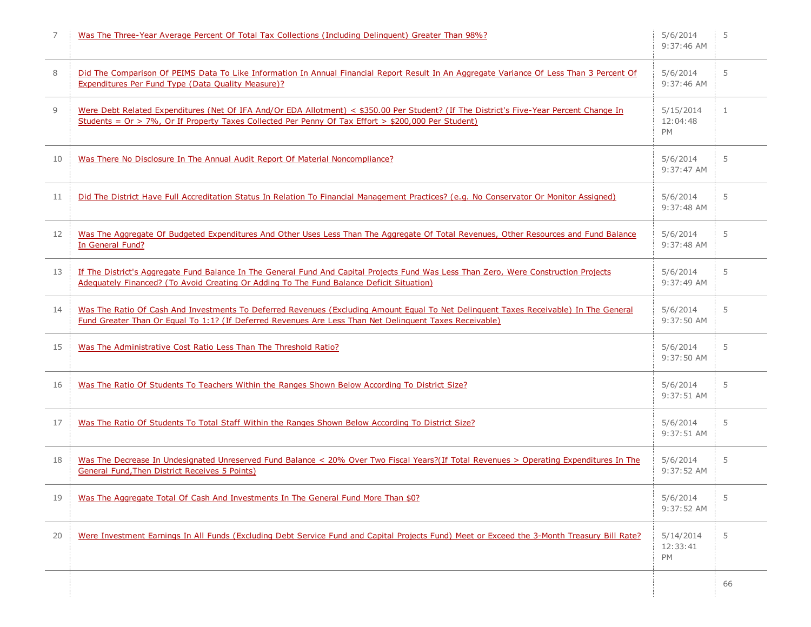| 7  | Was The Three-Year Average Percent Of Total Tax Collections (Including Delinguent) Greater Than 98%?                                                                                                                                               | 5/6/2014<br>9:37:46 AM             | 5  |
|----|----------------------------------------------------------------------------------------------------------------------------------------------------------------------------------------------------------------------------------------------------|------------------------------------|----|
| 8  | Did The Comparison Of PEIMS Data To Like Information In Annual Financial Report Result In An Aggregate Variance Of Less Than 3 Percent Of<br>Expenditures Per Fund Type (Data Quality Measure)?                                                    |                                    | 5  |
| 9  | Were Debt Related Expenditures (Net Of IFA And/Or EDA Allotment) < \$350.00 Per Student? (If The District's Five-Year Percent Change In<br>Students = $Or > 7\%$ , Or If Property Taxes Collected Per Penny Of Tax Effort > \$200,000 Per Student) | 5/15/2014<br>12:04:48<br><b>PM</b> | 1  |
| 10 | Was There No Disclosure In The Annual Audit Report Of Material Noncompliance?                                                                                                                                                                      | 5/6/2014<br>$9:37:47$ AM           | 5  |
| 11 | Did The District Have Full Accreditation Status In Relation To Financial Management Practices? (e.g. No Conservator Or Monitor Assigned)                                                                                                           | 5/6/2014<br>9:37:48 AM             | 5  |
| 12 | Was The Aggregate Of Budgeted Expenditures And Other Uses Less Than The Aggregate Of Total Revenues, Other Resources and Fund Balance<br>In General Fund?                                                                                          | 5/6/2014<br>9:37:48 AM             | 5  |
| 13 | If The District's Aggregate Fund Balance In The General Fund And Capital Projects Fund Was Less Than Zero, Were Construction Projects<br>Adequately Financed? (To Avoid Creating Or Adding To The Fund Balance Deficit Situation)                  | 5/6/2014<br>9:37:49 AM             | 5  |
| 14 | Was The Ratio Of Cash And Investments To Deferred Revenues (Excluding Amount Equal To Net Delinquent Taxes Receivable) In The General<br>Fund Greater Than Or Equal To 1:1? (If Deferred Revenues Are Less Than Net Delinquent Taxes Receivable)   | 5/6/2014<br>9:37:50 AM             | 5  |
| 15 | Was The Administrative Cost Ratio Less Than The Threshold Ratio?                                                                                                                                                                                   | 5/6/2014<br>9:37:50 AM             | 5  |
| 16 | Was The Ratio Of Students To Teachers Within the Ranges Shown Below According To District Size?                                                                                                                                                    | 5/6/2014<br>9:37:51 AM             | 5  |
| 17 | Was The Ratio Of Students To Total Staff Within the Ranges Shown Below According To District Size?                                                                                                                                                 | 5/6/2014<br>9:37:51 AM             | 5  |
| 18 | Was The Decrease In Undesignated Unreserved Fund Balance < 20% Over Two Fiscal Years?(If Total Revenues > Operating Expenditures In The<br><b>General Fund, Then District Receives 5 Points)</b>                                                   | 5/6/2014<br>9:37:52 AM             | 5  |
| 19 | Was The Aggregate Total Of Cash And Investments In The General Fund More Than \$0?                                                                                                                                                                 | 5/6/2014<br>9:37:52 AM             | 5  |
| 20 | Were Investment Earnings In All Funds (Excluding Debt Service Fund and Capital Projects Fund) Meet or Exceed the 3-Month Treasury Bill Rate?                                                                                                       | 5/14/2014<br>12:33:41<br>PM        | 5  |
|    |                                                                                                                                                                                                                                                    |                                    | 66 |